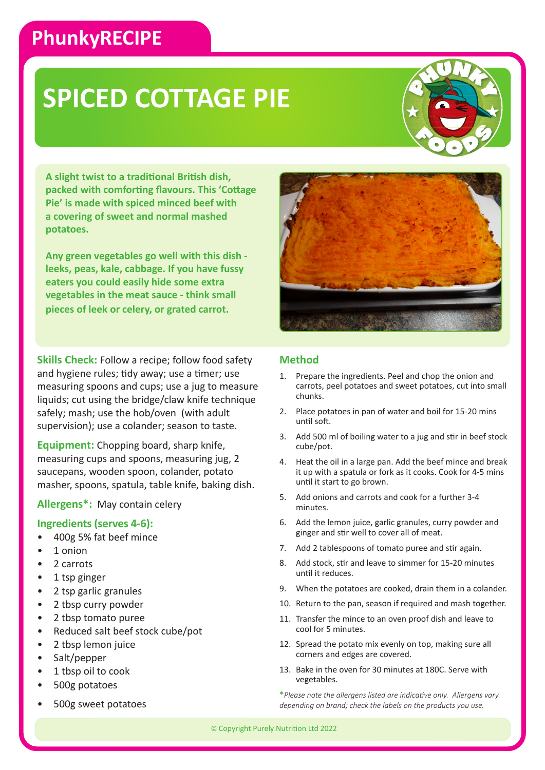### **PhunkyRECIPE**

## **SPICED COTTAGE PIE**

**A slight twist to a traditional British dish, packed with comforting flavours. This 'Cottage Pie' is made with spiced minced beef with a covering of sweet and normal mashed potatoes.** 

**Any green vegetables go well with this dish leeks, peas, kale, cabbage. If you have fussy eaters you could easily hide some extra vegetables in the meat sauce - think small pieces of leek or celery, or grated carrot.**

**Skills Check:** Follow a recipe; follow food safety and hygiene rules; tidy away; use a timer; use measuring spoons and cups; use a jug to measure liquids; cut using the bridge/claw knife technique safely; mash; use the hob/oven (with adult supervision); use a colander; season to taste.

**Equipment:** Chopping board, sharp knife, measuring cups and spoons, measuring jug, 2 saucepans, wooden spoon, colander, potato masher, spoons, spatula, table knife, baking dish.

### **Allergens\*:** May contain celery

#### **Ingredients (serves 4-6):**

- 400g 5% fat beef mince
- 1 onion
- 2 carrots
- 1 tsp ginger
- 2 tsp garlic granules
- 2 tbsp curry powder
- 2 tbsp tomato puree
- Reduced salt beef stock cube/pot
- 2 tbsp lemon juice
- Salt/pepper
- 1 tbsp oil to cook
- 500g potatoes
- 500g sweet potatoes



#### **Method**

- 1. Prepare the ingredients. Peel and chop the onion and carrots, peel potatoes and sweet potatoes, cut into small chunks.
- 2. Place potatoes in pan of water and boil for 15-20 mins until soft.
- 3. Add 500 ml of boiling water to a jug and stir in beef stock cube/pot.
- 4. Heat the oil in a large pan. Add the beef mince and break it up with a spatula or fork as it cooks. Cook for 4-5 mins until it start to go brown.
- 5. Add onions and carrots and cook for a further 3-4 minutes.
- 6. Add the lemon juice, garlic granules, curry powder and ginger and stir well to cover all of meat.
- 7. Add 2 tablespoons of tomato puree and stir again.
- 8. Add stock, stir and leave to simmer for 15-20 minutes until it reduces.
- 9. When the potatoes are cooked, drain them in a colander.
- 10. Return to the pan, season if required and mash together.
- 11. Transfer the mince to an oven proof dish and leave to cool for 5 minutes.
- 12. Spread the potato mix evenly on top, making sure all corners and edges are covered.
- 13. Bake in the oven for 30 minutes at 180C. Serve with vegetables.

**\****Please note the allergens listed are indicative only. Allergens vary depending on brand; check the labels on the products you use.*